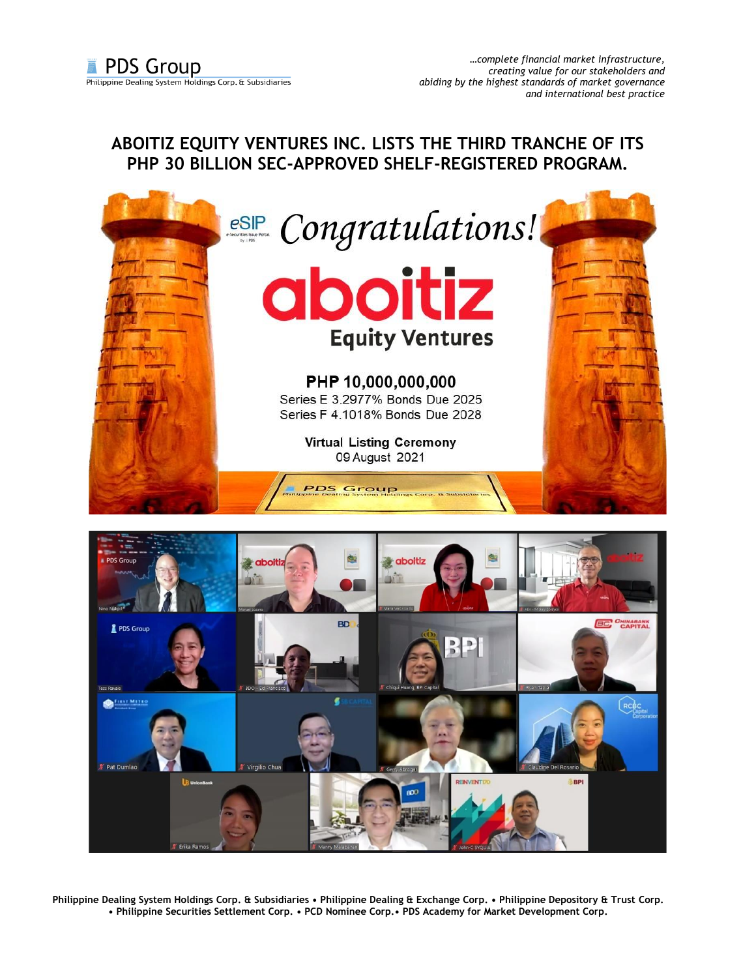## **ABOITIZ EQUITY VENTURES INC. LISTS THE THIRD TRANCHE OF ITS PHP 30 BILLION SEC-APPROVED SHELF-REGISTERED PROGRAM.**





**Philippine Dealing System Holdings Corp. & Subsidiaries • Philippine Dealing & Exchange Corp. • Philippine Depository & Trust Corp. • Philippine Securities Settlement Corp. • PCD Nominee Corp.• PDS Academy for Market Development Corp.**